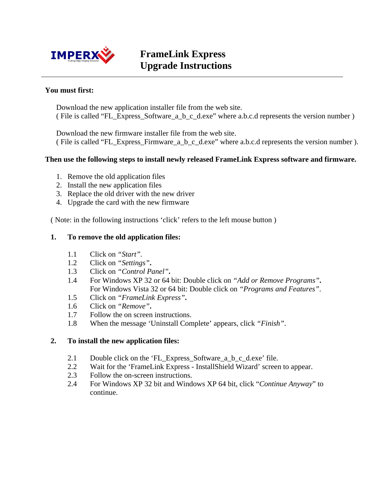

# **FrameLink Express Upgrade Instructions**

## **You must first:**

Download the new application installer file from the web site. ( File is called "FL\_Express\_Software\_a\_b\_c\_d.exe" where a.b.c.d represents the version number )

Download the new firmware installer file from the web site. ( File is called "FL\_Express\_Firmware\_a\_b\_c\_d.exe" where a.b.c.d represents the version number ).

#### **Then use the following steps to install newly released FrameLink Express software and firmware.**

- 1. Remove the old application files
- 2. Install the new application files
- 3. Replace the old driver with the new driver
- 4. Upgrade the card with the new firmware

( Note: in the following instructions 'click' refers to the left mouse button )

#### **1. To remove the old application files:**

- 1.1 Click on *"Start".*
- 1.2 Click on *"Settings"***.**
- 1.3 Click on *"Control Panel"***.**
- 1.4 For Windows XP 32 or 64 bit: Double click on *"Add or Remove Programs"***.**  For Windows Vista 32 or 64 bit: Double click on *"Programs and Features"*.
- 1.5 Click on *"FrameLink Express"***.**
- 1.6 Click on *"Remove"***.**
- 1.7 Follow the on screen instructions.
- 1.8 When the message 'Uninstall Complete' appears, click *"Finish"*.

#### **2. To install the new application files:**

- 2.1 Double click on the 'FL\_Express\_Software\_a\_b\_c\_d.exe' file.
- 2.2 Wait for the 'FrameLink Express InstallShield Wizard' screen to appear.
- 2.3 Follow the on-screen instructions.
- 2.4 For Windows XP 32 bit and Windows XP 64 bit, click "*Continue Anyway*" to continue.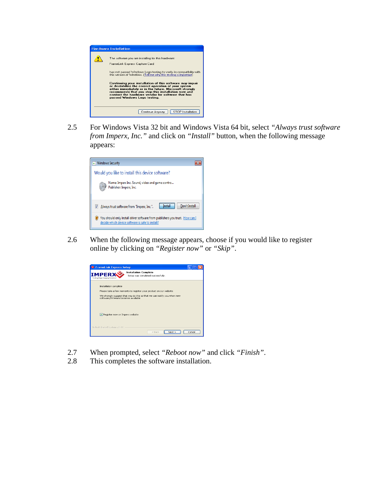

2.5 For Windows Vista 32 bit and Windows Vista 64 bit, select *"Always trust software from Imperx, Inc."* and click on *"Install"* button*,* when the following message appears:



2.6 When the following message appears, choose if you would like to register online by clicking on *"Register now"* or *"Skip"*.



- 2.7 When prompted, select *"Reboot now"* and click *"Finish"*.
- 2.8 This completes the software installation.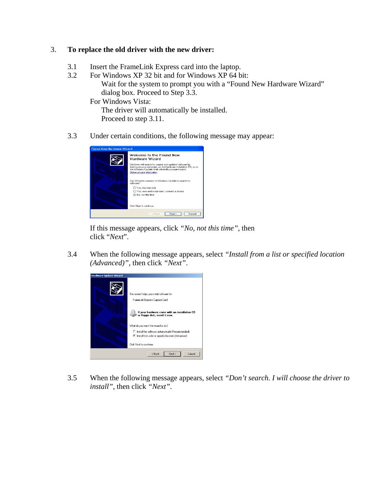# 3. **To replace the old driver with the new driver:**

- 3.1 Insert the FrameLink Express card into the laptop.
- 3.2 For Windows XP 32 bit and for Windows XP 64 bit: Wait for the system to prompt you with a "Found New Hardware Wizard" dialog box. Proceed to Step 3.3.

For Windows Vista:

 The driver will automatically be installed. Proceed to step 3.11.

3.3 Under certain conditions, the following message may appear:

| <b>Found New Hardware Wizard</b> |                                                                                                                                                                                                                                                                        |
|----------------------------------|------------------------------------------------------------------------------------------------------------------------------------------------------------------------------------------------------------------------------------------------------------------------|
|                                  | Welcome to the Found New<br>Hardware Wizard<br>Windows will search for current and updated software by<br>looking on your computer, on the hardware installation CD, or on<br>the Windows Update Web site (with your permission).<br><b>Online privacy information</b> |
|                                  | Can Windows connect to Windows Update to search for<br>software?<br>○ Yes, this time only<br>◯ Yes, now and every time I connect a device<br>(•) No, not this time                                                                                                     |
|                                  | Click Next to continue.                                                                                                                                                                                                                                                |
|                                  | < Back<br>Next ><br>Cancel                                                                                                                                                                                                                                             |

 If this message appears, click *"No, not this time",* then click "*Next*".

3.4 When the following message appears, select *"Install from a list or specified location (Advanced)"*, then click *"Next"*.



3.5 When the following message appears, select *"Don't search. I will choose the driver to install"*, then click *"Next"*.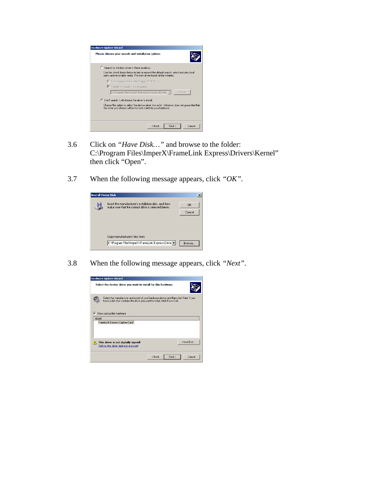

- 3.6 Click on *"Have Disk…"* and browse to the folder: C:\Program Files\ImperX\FrameLink Express\Drivers\Kernel" then click "Open".
- 3.7 When the following message appears, click *"OK"*.



3.8 When the following message appears, click *"Next"*.